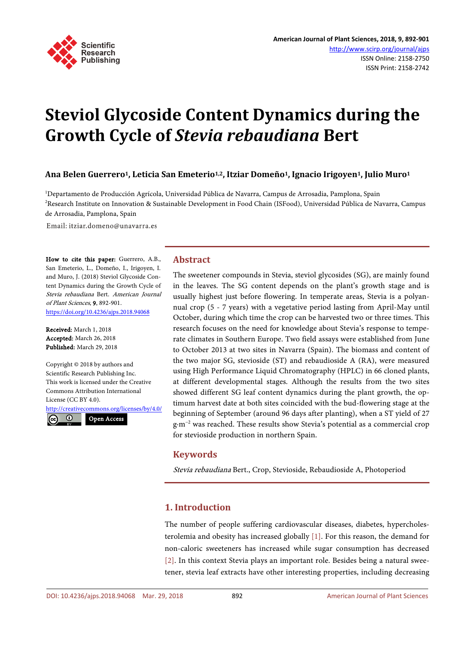

# **Steviol Glycoside Content Dynamics during the Growth Cycle of** *Stevia rebaudiana* **Bert**

**Ana Belen Guerrero1, Leticia San Emeterio1,2, Itziar Domeño1, Ignacio Irigoyen1, Julio Muro1**

1 Departamento de Producción Agrícola, Universidad Pública de Navarra, Campus de Arrosadia, Pamplona, Spain 2 Research Institute on Innovation & Sustainable Development in Food Chain (ISFood), Universidad Pública de Navarra, Campus de Arrosadia, Pamplona, Spain

Email: itziar.domeno@unavarra.es

How to cite this paper: Guerrero, A.B., San Emeterio, L., Domeño, I., Irigoyen, I. and Muro, J. (2018) Steviol Glycoside Content Dynamics during the Growth Cycle of Stevia rebaudiana Bert. American Journal of Plant Sciences, 9, 892-901. <https://doi.org/10.4236/ajps.2018.94068>

Received: March 1, 2018 Accepted: March 26, 2018 Published: March 29, 2018

Copyright © 2018 by authors and Scientific Research Publishing Inc. This work is licensed under the Creative Commons Attribution International License (CC BY 4.0).

<http://creativecommons.org/licenses/by/4.0/>  $\odot$ Open Access

**Abstract**

The sweetener compounds in Stevia, steviol glycosides (SG), are mainly found in the leaves. The SG content depends on the plant's growth stage and is usually highest just before flowering. In temperate areas, Stevia is a polyannual crop (5 - 7 years) with a vegetative period lasting from April-May until October, during which time the crop can be harvested two or three times. This research focuses on the need for knowledge about Stevia's response to temperate climates in Southern Europe. Two field assays were established from June to October 2013 at two sites in Navarra (Spain). The biomass and content of the two major SG, stevioside (ST) and rebaudioside A (RA), were measured using High Performance Liquid Chromatography (HPLC) in 66 cloned plants, at different developmental stages. Although the results from the two sites showed different SG leaf content dynamics during the plant growth, the optimum harvest date at both sites coincided with the bud-flowering stage at the beginning of September (around 96 days after planting), when a ST yield of 27 g·m−2 was reached. These results show Stevia's potential as a commercial crop for stevioside production in northern Spain.

# **Keywords**

Stevia rebaudiana Bert., Crop, Stevioside, Rebaudioside A, Photoperiod

# **1. Introduction**

The number of people suffering cardiovascular diseases, diabetes, hypercholesterolemia and obesity has increased globally [\[1\].](#page-7-0) For this reason, the demand for non-caloric sweeteners has increased while sugar consumption has decreased [\[2\].](#page-7-1) In this context Stevia plays an important role. Besides being a natural sweetener, stevia leaf extracts have other interesting properties, including decreasing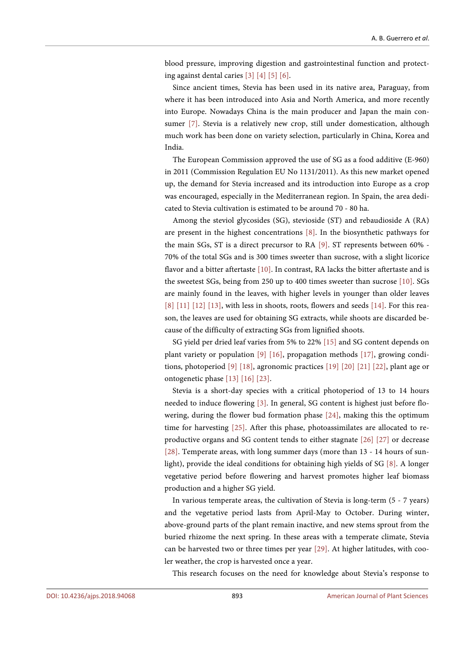blood pressure, improving digestion and gastrointestinal function and protecting against dental caries [\[3\]](#page-7-2) [\[4\]](#page-7-3) [\[5\]](#page-7-4) [\[6\].](#page-7-5)

Since ancient times, Stevia has been used in its native area, Paraguay, from where it has been introduced into Asia and North America, and more recently into Europe. Nowadays China is the main producer and Japan the main consumer [\[7\].](#page-7-6) Stevia is a relatively new crop, still under domestication, although much work has been done on variety selection, particularly in China, Korea and India.

The European Commission approved the use of SG as a food additive (E-960) in 2011 (Commission Regulation EU No 1131/2011). As this new market opened up, the demand for Stevia increased and its introduction into Europe as a crop was encouraged, especially in the Mediterranean region. In Spain, the area dedicated to Stevia cultivation is estimated to be around 70 - 80 ha.

Among the steviol glycosides (SG), stevioside (ST) and rebaudioside A (RA) are present in the highest concentrations [\[8\].](#page-7-7) In the biosynthetic pathways for the main SGs, ST is a direct precursor to RA [\[9\].](#page-7-8) ST represents between 60% - 70% of the total SGs and is 300 times sweeter than sucrose, with a slight licorice flavor and a bitter aftertaste [\[10\].](#page-7-9) In contrast, RA lacks the bitter aftertaste and is the sweetest SGs, being from 250 up to 400 times sweeter than sucrose [\[10\].](#page-7-9) SGs are mainly found in the leaves, with higher levels in younger than older leaves [\[8\]](#page-7-7) [\[11\]](#page-7-10) [\[12\]](#page-7-11) [\[13\],](#page-7-12) with less in shoots, roots, flowers and seeds [\[14\].](#page-8-0) For this reason, the leaves are used for obtaining SG extracts, while shoots are discarded because of the difficulty of extracting SGs from lignified shoots.

SG yield per dried leaf varies from 5% to 22% [\[15\]](#page-8-1) and SG content depends on plant variety or population [\[9\]](#page-7-8) [\[16\],](#page-8-2) propagation methods [\[17\],](#page-8-3) growing conditions, photoperiod [\[9\]](#page-7-8) [\[18\],](#page-8-4) agronomic practices [\[19\]](#page-8-5) [\[20\]](#page-8-6) [\[21\]](#page-8-7) [\[22\],](#page-8-8) plant age or ontogenetic phase [\[13\]](#page-7-12) [\[16\]](#page-8-2) [\[23\].](#page-8-9)

Stevia is a short-day species with a critical photoperiod of 13 to 14 hours needed to induce flowering [\[3\].](#page-7-2) In general, SG content is highest just before flowering, during the flower bud formation phase [\[24\],](#page-8-10) making this the optimum time for harvesting [\[25\].](#page-8-11) After this phase, photoassimilates are allocated to reproductive organs and SG content tends to either stagnate [\[26\]](#page-8-12) [\[27\]](#page-8-13) or decrease [\[28\].](#page-8-14) Temperate areas, with long summer days (more than 13 - 14 hours of sunlight), provide the ideal conditions for obtaining high yields of SG [\[8\].](#page-7-7) A longer vegetative period before flowering and harvest promotes higher leaf biomass production and a higher SG yield.

In various temperate areas, the cultivation of Stevia is long-term (5 - 7 years) and the vegetative period lasts from April-May to October. During winter, above-ground parts of the plant remain inactive, and new stems sprout from the buried rhizome the next spring. In these areas with a temperate climate, Stevia can be harvested two or three times per year [\[29\].](#page-8-15) At higher latitudes, with cooler weather, the crop is harvested once a year.

This research focuses on the need for knowledge about Stevia's response to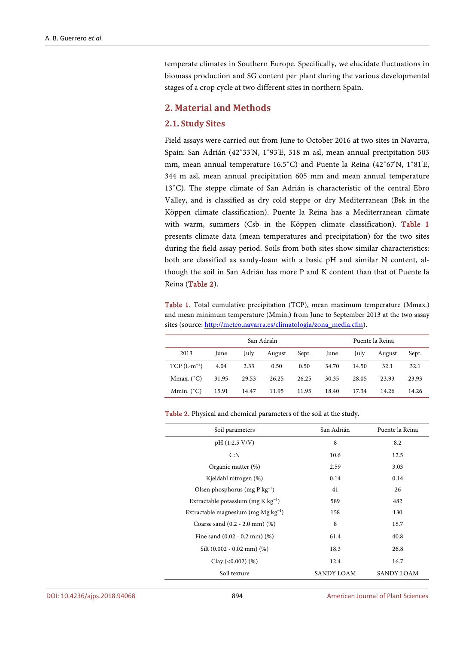temperate climates in Southern Europe. Specifically, we elucidate fluctuations in biomass production and SG content per plant during the various developmental stages of a crop cycle at two different sites in northern Spain.

# **2. Material and Methods**

#### **2.1. Study Sites**

Field assays were carried out from June to October 2016 at two sites in Navarra, Spain: San Adrián (42˚33'N, 1˚93'E, 318 m asl, mean annual precipitation 503 mm, mean annual temperature 16.5˚C) and Puente la Reina (42˚67'N, 1˚81'E, 344 m asl, mean annual precipitation 605 mm and mean annual temperature 13˚C). The steppe climate of San Adrián is characteristic of the central Ebro Valley, and is classified as dry cold steppe or dry Mediterranean (Bsk in the Köppen climate classification). Puente la Reina has a Mediterranean climate with warm, summers (Csb in the Köppen climate classification). [Table 1](#page-2-0) presents climate data (mean temperatures and precipitation) for the two sites during the field assay period. Soils from both sites show similar characteristics: both are classified as sandy-loam with a basic pH and similar N content, although the soil in San Adrián has more P and K content than that of Puente la Reina [\(Table 2\)](#page-2-1).

<span id="page-2-0"></span>Table 1. Total cumulative precipitation (TCP), mean maximum temperature (Mmax.) and mean minimum temperature (Mmin.) from June to September 2013 at the two assay sites (source[: http://meteo.navarra.es/climatologia/zona\\_media.cfm\)](http://meteo.navarra.es/climatologia/zona_media.cfm).

|                     | San Adrián |       |        |       | Puente la Reina |       |        |       |
|---------------------|------------|-------|--------|-------|-----------------|-------|--------|-------|
| 2013                | June       | July  | August | Sept. | June            | July  | August | Sept. |
| $TCP (L·m-2)$       | 4.04       | 2.33  | 0.50   | 0.50  | 34.70           | 14.50 | 32.1   | 32.1  |
| Mmax. $(^{\circ}C)$ | 31.95      | 29.53 | 26.25  | 26.25 | 30.35           | 28.05 | 23.93  | 23.93 |
| Mmin. $(^{\circ}C)$ | 15.91      | 14.47 | 11.95  | 11.95 | 18.40           | 17.34 | 14.26  | 14.26 |

| Soil parameters                          | San Adrián | Puente la Reina |  |
|------------------------------------------|------------|-----------------|--|
| pH (1:2.5 V/V)                           | 8          | 8.2             |  |
| C: N                                     | 10.6       | 12.5            |  |
| Organic matter (%)                       | 2.59       | 3.03            |  |
| Kjeldahl nitrogen (%)                    | 0.14       | 0.14            |  |
| Olsen phosphorus (mg P $kg^{-1}$ )       | 41         | 26              |  |
| Extractable potassium (mg K $kg^{-1}$ )  | 589        | 482             |  |
| Extractable magnesium (mg $Mg kg^{-1}$ ) | 158        | 130             |  |
| Coarse sand $(0.2 - 2.0$ mm $)$ $(\%)$   | 8          | 15.7            |  |
| Fine sand $(0.02 - 0.2$ mm $)$ $(\%)$    | 61.4       | 40.8            |  |
| Silt $(0.002 - 0.02 \text{ mm})$ $(\%)$  | 18.3       | 26.8            |  |
| Clay $(<0.002)$ $(\%)$                   | 12.4       | 16.7            |  |
| Soil texture                             | SANDY LOAM | SANDY LOAM      |  |

<span id="page-2-1"></span>Table 2. Physical and chemical parameters of the soil at the study.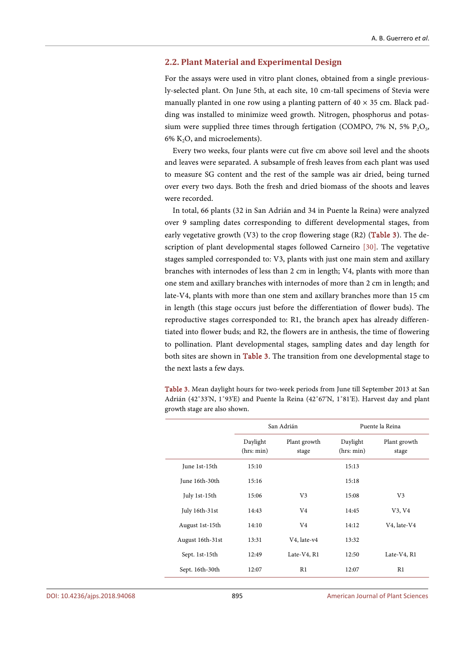#### **2.2. Plant Material and Experimental Design**

For the assays were used in vitro plant clones, obtained from a single previously-selected plant. On June 5th, at each site, 10 cm-tall specimens of Stevia were manually planted in one row using a planting pattern of  $40 \times 35$  cm. Black padding was installed to minimize weed growth. Nitrogen, phosphorus and potassium were supplied three times through fertigation (COMPO, 7% N, 5%  $P_2O_5$ , 6% K<sub>2</sub>O, and microelements).

Every two weeks, four plants were cut five cm above soil level and the shoots and leaves were separated. A subsample of fresh leaves from each plant was used to measure SG content and the rest of the sample was air dried, being turned over every two days. Both the fresh and dried biomass of the shoots and leaves were recorded.

In total, 66 plants (32 in San Adrián and 34 in Puente la Reina) were analyzed over 9 sampling dates corresponding to different developmental stages, from early vegetative growth (V3) to the crop flowering stage (R2) [\(Table 3\)](#page-3-0). The description of plant developmental stages followed Carneiro [\[30\].](#page-8-16) The vegetative stages sampled corresponded to: V3, plants with just one main stem and axillary branches with internodes of less than 2 cm in length; V4, plants with more than one stem and axillary branches with internodes of more than 2 cm in length; and late-V4, plants with more than one stem and axillary branches more than 15 cm in length (this stage occurs just before the differentiation of flower buds). The reproductive stages corresponded to: R1, the branch apex has already differentiated into flower buds; and R2, the flowers are in anthesis, the time of flowering to pollination. Plant developmental stages, sampling dates and day length for both sites are shown in [Table 3.](#page-3-0) The transition from one developmental stage to the next lasts a few days.

<span id="page-3-0"></span>Table 3. Mean daylight hours for two-week periods from June till September 2013 at San Adrián (42˚33'N, 1˚93'E) and Puente la Reina (42˚67'N, 1˚81'E). Harvest day and plant growth stage are also shown.

|                  |                        | San Adrián            | Puente la Reina        |                       |  |
|------------------|------------------------|-----------------------|------------------------|-----------------------|--|
|                  | Daylight<br>(hrs: min) | Plant growth<br>stage | Daylight<br>(hrs: min) | Plant growth<br>stage |  |
| June 1st-15th    | 15:10                  |                       | 15:13                  |                       |  |
| June 16th-30th   | 15:16                  |                       | 15:18                  |                       |  |
| July 1st-15th    | 15:06                  | V <sub>3</sub>        | 15:08                  | V <sub>3</sub>        |  |
| July 16th-31st   | 14:43                  | V4                    | 14:45                  | V3, V4                |  |
| August 1st-15th  | 14:10                  | V4                    | 14:12                  | V4, late-V4           |  |
| August 16th-31st | 13:31                  | V4, late-v4           | 13:32                  |                       |  |
| Sept. 1st-15th   | 12:49                  | Late-V4, R1           | 12:50                  | Late-V4, R1           |  |
| Sept. 16th-30th  | 12:07                  | R1                    | 12:07                  | R1                    |  |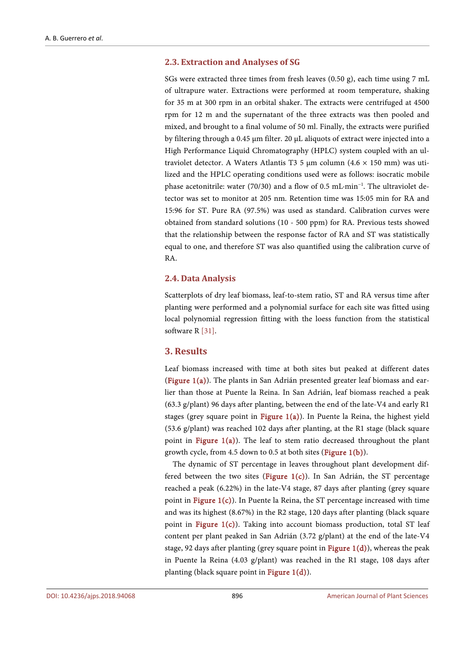# **2.3. Extraction and Analyses of SG**

SGs were extracted three times from fresh leaves (0.50 g), each time using 7 mL of ultrapure water. Extractions were performed at room temperature, shaking for 35 m at 300 rpm in an orbital shaker. The extracts were centrifuged at 4500 rpm for 12 m and the supernatant of the three extracts was then pooled and mixed, and brought to a final volume of 50 ml. Finally, the extracts were purified by filtering through a 0.45 µm filter. 20 µL aliquots of extract were injected into a High Performance Liquid Chromatography (HPLC) system coupled with an ultraviolet detector. A Waters Atlantis T3 5  $\mu$ m column (4.6 × 150 mm) was utilized and the HPLC operating conditions used were as follows: isocratic mobile phase acetonitrile: water (70/30) and a flow of 0.5 mL·min<sup>-1</sup>. The ultraviolet detector was set to monitor at 205 nm. Retention time was 15:05 min for RA and 15:96 for ST. Pure RA (97.5%) was used as standard. Calibration curves were obtained from standard solutions (10 - 500 ppm) for RA. Previous tests showed that the relationship between the response factor of RA and ST was statistically equal to one, and therefore ST was also quantified using the calibration curve of RA.

#### **2.4. Data Analysis**

Scatterplots of dry leaf biomass, leaf-to-stem ratio, ST and RA versus time after planting were performed and a polynomial surface for each site was fitted using local polynomial regression fitting with the loess function from the statistical software R [31].

# **3. Results**

Leaf biomass increased with time at both sites but peaked at different dates [\(Figure 1\(a\)\)](#page-5-0). The plants in San Adrián presented greater leaf biomass and earlier than those at Puente la Reina. In San Adrián, leaf biomass reached a peak (63.3 g/plant) 96 days after planting, between the end of the late-V4 and early R1 stages (grey square point in Figure  $1(a)$ ). In Puente la Reina, the highest yield (53.6 g/plant) was reached 102 days after planting, at the R1 stage (black square point in Figure  $1(a)$ ). The leaf to stem ratio decreased throughout the plant growth cycle, from 4.5 down to 0.5 at both sites [\(Figure 1\(b\)\)](#page-5-0).

The dynamic of ST percentage in leaves throughout plant development differed between the two sites (Figure  $1(c)$ ). In San Adrián, the ST percentage reached a peak (6.22%) in the late-V4 stage, 87 days after planting (grey square point in Figure  $1(c)$ ). In Puente la Reina, the ST percentage increased with time and was its highest (8.67%) in the R2 stage, 120 days after planting (black square point in [Figure 1\(c\)\)](#page-5-0). Taking into account biomass production, total ST leaf content per plant peaked in San Adrián (3.72 g/plant) at the end of the late-V4 stage, 92 days after planting (grey square point in Figure  $1(d)$ ), whereas the peak in Puente la Reina (4.03 g/plant) was reached in the R1 stage, 108 days after planting (black square point i[n Figure 1\(d\)\)](#page-5-0).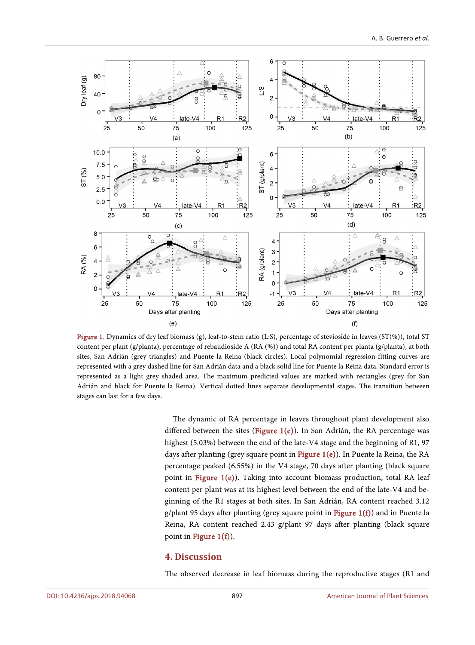<span id="page-5-0"></span>

Figure 1. Dynamics of dry leaf biomass (g), leaf-to-stem ratio (L:S), percentage of stevioside in leaves (ST(%)), total ST content per plant (g/planta), percentage of rebaudioside A (RA (%)) and total RA content per planta (g/planta), at both sites, San Adrián (grey triangles) and Puente la Reina (black circles). Local polynomial regression fitting curves are represented with a grey dashed line for San Adrián data and a black solid line for Puente la Reina data. Standard error is represented as a light grey shaded area. The maximum predicted values are marked with rectangles (grey for San Adrián and black for Puente la Reina). Vertical dotted lines separate developmental stages. The transition between stages can last for a few days.

The dynamic of RA percentage in leaves throughout plant development also differed between the sites (Figure  $1(e)$ ). In San Adrián, the RA percentage was highest (5.03%) between the end of the late-V4 stage and the beginning of R1, 97 days after planting (grey square point in [Figure 1\(e\)\)](#page-5-0). In Puente la Reina, the RA percentage peaked (6.55%) in the V4 stage, 70 days after planting (black square point in [Figure 1\(e\)\)](#page-5-0). Taking into account biomass production, total RA leaf content per plant was at its highest level between the end of the late-V4 and beginning of the R1 stages at both sites. In San Adrián, RA content reached 3.12 g/plant 95 days after planting (grey square point in Figure  $1(f)$ ) and in Puente la Reina, RA content reached 2.43 g/plant 97 days after planting (black square point in Figure  $1(f)$ ).

# **4. Discussion**

The observed decrease in leaf biomass during the reproductive stages (R1 and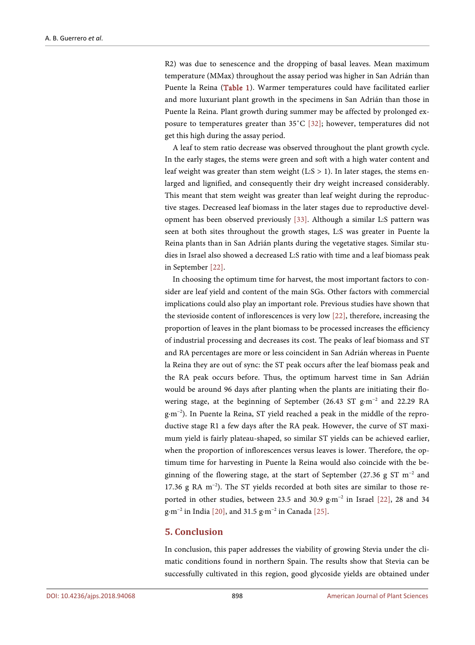R2) was due to senescence and the dropping of basal leaves. Mean maximum temperature (MMax) throughout the assay period was higher in San Adrián than Puente la Reina [\(Table 1\)](#page-2-0). Warmer temperatures could have facilitated earlier and more luxuriant plant growth in the specimens in San Adrián than those in Puente la Reina. Plant growth during summer may be affected by prolonged exposure to temperatures greater than 35˚C [\[32\];](#page-9-1) however, temperatures did not get this high during the assay period.

A leaf to stem ratio decrease was observed throughout the plant growth cycle. In the early stages, the stems were green and soft with a high water content and leaf weight was greater than stem weight  $(L:S > 1)$ . In later stages, the stems enlarged and lignified, and consequently their dry weight increased considerably. This meant that stem weight was greater than leaf weight during the reproductive stages. Decreased leaf biomass in the later stages due to reproductive development has been observed previously [\[33\].](#page-9-2) Although a similar L:S pattern was seen at both sites throughout the growth stages, L:S was greater in Puente la Reina plants than in San Adrián plants during the vegetative stages. Similar studies in Israel also showed a decreased L:S ratio with time and a leaf biomass peak in September [\[22\].](#page-8-8) 

In choosing the optimum time for harvest, the most important factors to consider are leaf yield and content of the main SGs. Other factors with commercial implications could also play an important role. Previous studies have shown that the stevioside content of inflorescences is very low [\[22\],](#page-8-8) therefore, increasing the proportion of leaves in the plant biomass to be processed increases the efficiency of industrial processing and decreases its cost. The peaks of leaf biomass and ST and RA percentages are more or less coincident in San Adrián whereas in Puente la Reina they are out of sync: the ST peak occurs after the leaf biomass peak and the RA peak occurs before. Thus, the optimum harvest time in San Adrián would be around 96 days after planting when the plants are initiating their flowering stage, at the beginning of September (26.43 ST g·m−2 and 22.29 RA g·m−2 ). In Puente la Reina, ST yield reached a peak in the middle of the reproductive stage R1 a few days after the RA peak. However, the curve of ST maximum yield is fairly plateau-shaped, so similar ST yields can be achieved earlier, when the proportion of inflorescences versus leaves is lower. Therefore, the optimum time for harvesting in Puente la Reina would also coincide with the beginning of the flowering stage, at the start of September (27.36 g ST m<sup>-2</sup> and 17.36 g RA m−2 ). The ST yields recorded at both sites are similar to those re-ported in other studies, between 23.5 and 30.9 g·m<sup>-2</sup> in Israel [\[22\],](#page-8-8) 28 and 34 g·m−2 in India [\[20\],](#page-8-6) and 31.5 g·m−2 in Canada [\[25\].](#page-8-11)

# **5. Conclusion**

In conclusion, this paper addresses the viability of growing Stevia under the climatic conditions found in northern Spain. The results show that Stevia can be successfully cultivated in this region, good glycoside yields are obtained under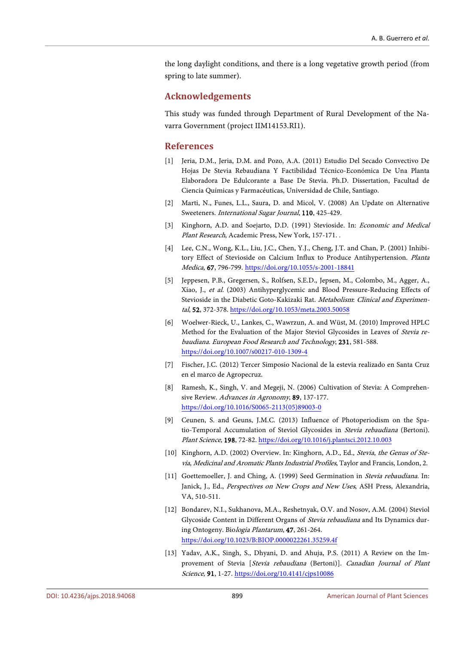the long daylight conditions, and there is a long vegetative growth period (from spring to late summer).

# **Acknowledgements**

This study was funded through Department of Rural Development of the Navarra Government (project IIM14153.RI1).

#### **References**

- <span id="page-7-0"></span>[1] Jeria, D.M., Jeria, D.M. and Pozo, A.A. (2011) Estudio Del Secado Convectivo De Hojas De Stevia Rebaudiana Y Factibilidad Técnico-Económica De Una Planta Elaboradora De Edulcorante a Base De Stevia. Ph.D. Dissertation, Facultad de Ciencia Químicas y Farmacéuticas, Universidad de Chile, Santiago.
- <span id="page-7-1"></span>[2] Marti, N., Funes, L.L., Saura, D. and Micol, V. (2008) An Update on Alternative Sweeteners. International Sugar Journal, 110, 425-429.
- <span id="page-7-2"></span>[3] Kinghorn, A.D. and Soejarto, D.D. (1991) Stevioside. In: *Economic and Medical* Plant Research, Academic Press, New York, 157-171. .
- <span id="page-7-3"></span>[4] Lee, C.N., Wong, K.L., Liu, J.C., Chen, Y.J., Cheng, J.T. and Chan, P. (2001) Inhibitory Effect of Stevioside on Calcium Influx to Produce Antihypertension. Planta Medica, 67, 796-799. <https://doi.org/10.1055/s-2001-18841>
- <span id="page-7-4"></span>[5] Jeppesen, P.B., Gregersen, S., Rolfsen, S.E.D., Jepsen, M., Colombo, M., Agger, A., Xiao, J., et al. (2003) Antihyperglycemic and Blood Pressure-Reducing Effects of Stevioside in the Diabetic Goto-Kakizaki Rat. Metabolism: Clinical and Experimental, 52, 372-378. <https://doi.org/10.1053/meta.2003.50058>
- <span id="page-7-5"></span>[6] Woelwer-Rieck, U., Lankes, C., Wawrzun, A. and Wüst, M. (2010) Improved HPLC Method for the Evaluation of the Major Steviol Glycosides in Leaves of Stevia rebaudiana. European Food Research and Technology, 231, 581-588. <https://doi.org/10.1007/s00217-010-1309-4>
- <span id="page-7-6"></span>[7] Fischer, J.C. (2012) Tercer Simposio Nacional de la estevia realizado en Santa Cruz en el marco de Agropecruz.
- <span id="page-7-7"></span>[8] Ramesh, K., Singh, V. and Megeji, N. (2006) Cultivation of Stevia: A Comprehensive Review. Advances in Agronomy, 89, 137-177. [https://doi.org/10.1016/S0065-2113\(05\)89003-0](https://doi.org/10.1016/S0065-2113(05)89003-0)
- <span id="page-7-8"></span>[9] Ceunen, S. and Geuns, J.M.C. (2013) Influence of Photoperiodism on the Spatio-Temporal Accumulation of Steviol Glycosides in Stevia rebaudiana (Bertoni). Plant Science, 198, 72-82. <https://doi.org/10.1016/j.plantsci.2012.10.003>
- <span id="page-7-9"></span>[10] Kinghorn, A.D. (2002) Overview. In: Kinghorn, A.D., Ed., Stevia, the Genus of Stevia, Medicinal and Aromatic Plants Industrial Profiles, Taylor and Francis, London, 2.
- <span id="page-7-10"></span>[11] Goettemoeller, J. and Ching, A. (1999) Seed Germination in Stevia rebaudiana. In: Janick, J., Ed., Perspectives on New Crops and New Uses, ASH Press, Alexandria, VA, 510-511.
- <span id="page-7-11"></span>[12] Bondarev, N.I., Sukhanova, M.A., Reshetnyak, O.V. and Nosov, A.M. (2004) Steviol Glycoside Content in Different Organs of *Stevia rebaudiana* and Its Dynamics during Ontogeny. Biologia Plantarum, 47, 261-264. <https://doi.org/10.1023/B:BIOP.0000022261.35259.4f>
- <span id="page-7-12"></span>[13] Yadav, A.K., Singh, S., Dhyani, D. and Ahuja, P.S. (2011) A Review on the Improvement of Stevia [Stevia rebaudiana (Bertoni)]. Canadian Journal of Plant Science, 91, 1-27. <https://doi.org/10.4141/cjps10086>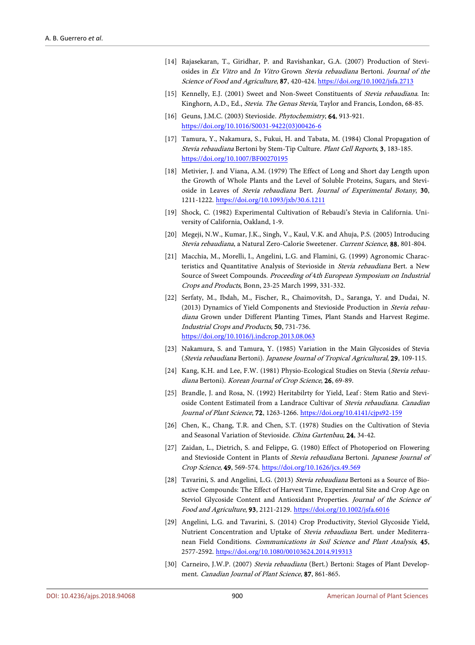- <span id="page-8-0"></span>[14] Rajasekaran, T., Giridhar, P. and Ravishankar, G.A. (2007) Production of Steviosides in Ex Vitro and In Vitro Grown Stevia rebaudiana Bertoni. Journal of the Science of Food and Agriculture, 87, 420-424. <https://doi.org/10.1002/jsfa.2713>
- <span id="page-8-1"></span>[15] Kennelly, E.J. (2001) Sweet and Non-Sweet Constituents of Stevia rebaudiana. In: Kinghorn, A.D., Ed., Stevia. The Genus Stevia, Taylor and Francis, London, 68-85.
- <span id="page-8-2"></span>[16] Geuns, J.M.C. (2003) Stevioside. Phytochemistry, **64**, 913-921. [https://doi.org/10.1016/S0031-9422\(03\)00426-6](https://doi.org/10.1016/S0031-9422(03)00426-6)
- <span id="page-8-3"></span>[17] Tamura, Y., Nakamura, S., Fukui, H. and Tabata, M. (1984) Clonal Propagation of Stevia rebaudiana Bertoni by Stem-Tip Culture. Plant Cell Reports, 3, 183-185. <https://doi.org/10.1007/BF00270195>
- <span id="page-8-4"></span>[18] Metivier, J. and Viana, A.M. (1979) The Effect of Long and Short day Length upon the Growth of Whole Plants and the Level of Soluble Proteins, Sugars, and Stevioside in Leaves of Stevia rebaudiana Bert. Journal of Experimental Botany, 30, 1211-1222. <https://doi.org/10.1093/jxb/30.6.1211>
- <span id="page-8-5"></span>[19] Shock, C. (1982) Experimental Cultivation of Rebaudi's Stevia in California. University of California, Oakland, 1-9.
- <span id="page-8-6"></span>[20] Megeji, N.W., Kumar, J.K., Singh, V., Kaul, V.K. and Ahuja, P.S. (2005) Introducing Stevia rebaudiana, a Natural Zero-Calorie Sweetener. Current Science, 88, 801-804.
- <span id="page-8-7"></span>[21] Macchia, M., Morelli, I., Angelini, L.G. and Flamini, G. (1999) Agronomic Characteristics and Quantitative Analysis of Stevioside in *Stevia rebaudiana* Bert. a New Source of Sweet Compounds. Proceeding of 4th European Symposium on Industrial Crops and Products, Bonn, 23-25 March 1999, 331-332.
- <span id="page-8-8"></span>[22] Serfaty, M., Ibdah, M., Fischer, R., Chaimovitsh, D., Saranga, Y. and Dudai, N. (2013) Dynamics of Yield Components and Stevioside Production in Stevia rebaudiana Grown under Different Planting Times, Plant Stands and Harvest Regime. Industrial Crops and Products, 50, 731-736. <https://doi.org/10.1016/j.indcrop.2013.08.063>
- <span id="page-8-9"></span>[23] Nakamura, S. and Tamura, Y. (1985) Variation in the Main Glycosides of Stevia (Stevia rebaudiana Bertoni). Japanese Journal of Tropical Agricultural, 29, 109-115.
- <span id="page-8-10"></span>[24] Kang, K.H. and Lee, F.W. (1981) Physio-Ecological Studies on Stevia (Stevia rebaudiana Bertoni). Korean Journal of Crop Science, 26, 69-89.
- <span id="page-8-11"></span>[25] Brandle, J. and Rosa, N. (1992) Heritabilrty for Yield, Leaf : Stem Ratio and Stevioside Content Estimateil from a Landrace Cultivar of Stevia rebaudiana. Canadian Journal of Plant Science, 72, 1263-1266. <https://doi.org/10.4141/cjps92-159>
- <span id="page-8-12"></span>[26] Chen, K., Chang, T.R. and Chen, S.T. (1978) Studies on the Cultivation of Stevia and Seasonal Variation of Stevioside. China Gartenbau, 24, 34-42.
- <span id="page-8-13"></span>[27] Zaidan, L., Dietrich, S. and Felippe, G. (1980) Effect of Photoperiod on Flowering and Stevioside Content in Plants of Stevia rebaudiana Bertoni. Japanese Journal of Crop Science, 49, 569-574. <https://doi.org/10.1626/jcs.49.569>
- <span id="page-8-14"></span>[28] Tavarini, S. and Angelini, L.G. (2013) Stevia rebaudiana Bertoni as a Source of Bioactive Compounds: The Effect of Harvest Time, Experimental Site and Crop Age on Steviol Glycoside Content and Antioxidant Properties. Journal of the Science of Food and Agriculture, 93, 2121-2129. <https://doi.org/10.1002/jsfa.6016>
- <span id="page-8-15"></span>[29] Angelini, L.G. and Tavarini, S. (2014) Crop Productivity, Steviol Glycoside Yield, Nutrient Concentration and Uptake of Stevia rebaudiana Bert. under Mediterranean Field Conditions. Communications in Soil Science and Plant Analysis, 45, 2577-2592. <https://doi.org/10.1080/00103624.2014.919313>
- <span id="page-8-16"></span>[30] Carneiro, J.W.P. (2007) Stevia rebaudiana (Bert.) Bertoni: Stages of Plant Development. *Canadian Journal of Plant Science*, 87, 861-865.